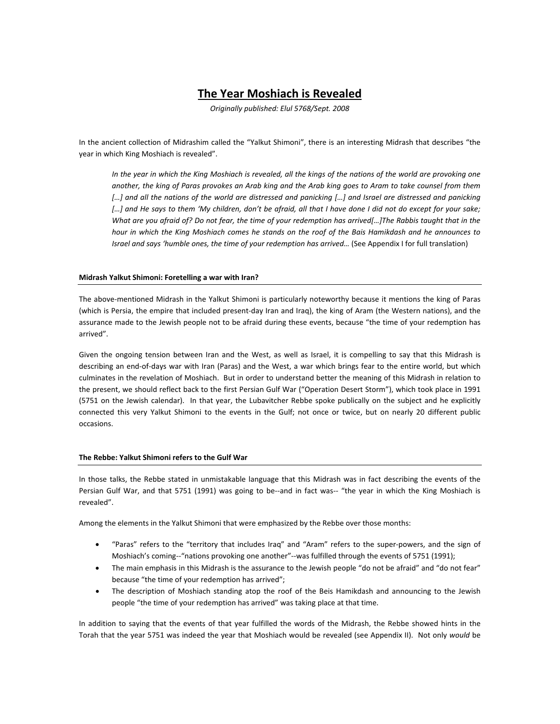# **The Year Moshiach is Revealed**

*Originally published: Elul 5768/Sept. 2008*

In the ancient collection of Midrashim called the "Yalkut Shimoni", there is an interesting Midrash that describes "the year in which King Moshiach is revealed".

*In the year in which the King Moshiach is revealed, all the kings of the nations of the world are provoking one another, the king of Paras provokes an Arab king and the Arab king goes to Aram to take counsel from them*  […] and all the nations of the world are distressed and panicking […] and Israel are distressed and panicking [...] and He says to them 'My children, don't be afraid, all that I have done I did not do except for your sake; *What are you afraid of? Do not fear, the time of your redemption has arrived[…]The Rabbis taught that in the hour in which the King Moshiach comes he stands on the roof of the Bais Hamikdash and he announces to Israel and says 'humble ones, the time of your redemption has arrived…* (See Appendix I for full translation)

## **Midrash Yalkut Shimoni: Foretelling a war with Iran?**

The above-mentioned Midrash in the Yalkut Shimoni is particularly noteworthy because it mentions the king of Paras (which is Persia, the empire that included present-day Iran and Iraq), the king of Aram (the Western nations), and the assurance made to the Jewish people not to be afraid during these events, because "the time of your redemption has arrived".

Given the ongoing tension between Iran and the West, as well as Israel, it is compelling to say that this Midrash is describing an end-of-days war with Iran (Paras) and the West, a war which brings fear to the entire world, but which culminates in the revelation of Moshiach. But in order to understand better the meaning of this Midrash in relation to the present, we should reflect back to the first Persian Gulf War ("Operation Desert Storm"), which took place in 1991 (5751 on the Jewish calendar). In that year, the Lubavitcher Rebbe spoke publically on the subject and he explicitly connected this very Yalkut Shimoni to the events in the Gulf; not once or twice, but on nearly 20 different public occasions.

#### **The Rebbe: Yalkut Shimoni refers to the Gulf War**

In those talks, the Rebbe stated in unmistakable language that this Midrash was in fact describing the events of the Persian Gulf War, and that 5751 (1991) was going to be--and in fact was*--* "the year in which the King Moshiach is revealed".

Among the elements in the Yalkut Shimoni that were emphasized by the Rebbe over those months:

- "Paras" refers to the "territory that includes Iraq" and "Aram" refers to the super-powers, and the sign of Moshiach's coming--"nations provoking one another"--was fulfilled through the events of 5751 (1991);
- The main emphasis in this Midrash is the assurance to the Jewish people "do not be afraid" and "do not fear" because "the time of your redemption has arrived";
- The description of Moshiach standing atop the roof of the Beis Hamikdash and announcing to the Jewish people "the time of your redemption has arrived" was taking place at that time.

In addition to saying that the events of that year fulfilled the words of the Midrash, the Rebbe showed hints in the Torah that the year 5751 was indeed the year that Moshiach would be revealed (see Appendix II). Not only *would* be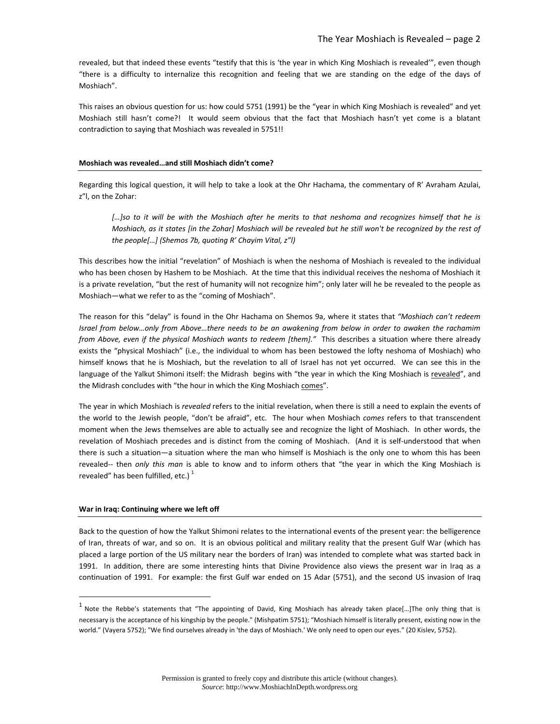revealed, but that indeed these events "testify that this is 'the year in which King Moshiach is revealed'", even though "there is a difficulty to internalize this recognition and feeling that we are standing on the edge of the days of Moshiach".

This raises an obvious question for us: how could 5751 (1991) be the "year in which King Moshiach is revealed" and yet Moshiach still hasn't come?! It would seem obvious that the fact that Moshiach hasn't yet come is a blatant contradiction to saying that Moshiach was revealed in 5751!!

#### **Moshiach was revealed…and still Moshiach didn't come?**

Regarding this logical question, it will help to take a look at the Ohr Hachama, the commentary of R' Avraham Azulai, z"l, on the Zohar:

*[…]so to it will be with the Moshiach after he merits to that neshoma and recognizes himself that he is Moshiach, as it states [in the Zohar] Moshiach will be revealed but he still won't be recognized by the rest of the people[…] (Shemos 7b, quoting R' Chayim Vital, z"l)*

This describes how the initial "revelation" of Moshiach is when the neshoma of Moshiach is revealed to the individual who has been chosen by Hashem to be Moshiach. At the time that this individual receives the neshoma of Moshiach it is a private revelation, "but the rest of humanity will not recognize him"; only later will he be revealed to the people as Moshiach—what we refer to as the "coming of Moshiach".

The reason for this "delay" is found in the Ohr Hachama on Shemos 9a, where it states that *"Moshiach can't redeem Israel from below…only from Above…there needs to be an awakening from below in order to awaken the rachamim from Above, even if the physical Moshiach wants to redeem [them]."* This describes a situation where there already exists the "physical Moshiach" (i.e., the individual to whom has been bestowed the lofty neshoma of Moshiach) who himself knows that he is Moshiach, but the revelation to all of Israel has not yet occurred. We can see this in the language of the Yalkut Shimoni itself: the Midrash begins with "the year in which the King Moshiach is revealed", and the Midrash concludes with "the hour in which the King Moshiach comes".

The year in which Moshiach is *revealed* refers to the initial revelation, when there is still a need to explain the events of the world to the Jewish people, "don't be afraid", etc. The hour when Moshiach *comes* refers to that transcendent moment when the Jews themselves are able to actually see and recognize the light of Moshiach. In other words, the revelation of Moshiach precedes and is distinct from the coming of Moshiach. (And it is self-understood that when there is such a situation—a situation where the man who himself is Moshiach is the only one to whom this has been revealed-- then *only this man* is able to know and to inform others that "the year in which the King Moshiach is revealed" has been fulfilled, etc.) $<sup>1</sup>$  $<sup>1</sup>$  $<sup>1</sup>$ </sup>

#### **War in Iraq: Continuing where we left off**

Back to the question of how the Yalkut Shimoni relates to the international events of the present year: the belligerence of Iran, threats of war, and so on. It is an obvious political and military reality that the present Gulf War (which has placed a large portion of the US military near the borders of Iran) was intended to complete what was started back in 1991. In addition, there are some interesting hints that Divine Providence also views the present war in Iraq as a continuation of 1991. For example: the first Gulf war ended on 15 Adar (5751), and the second US invasion of Iraq

<span id="page-1-0"></span> $<sup>1</sup>$  Note the Rebbe's statements that "The appointing of David, King Moshiach has already taken place[...]The only thing that is</sup> necessary is the acceptance of his kingship by the people." (Mishpatim 5751); "Moshiach himself is literally present, existing now in the world." (Vayera 5752); "We find ourselves already in 'the days of Moshiach.' We only need to open our eyes." (20 Kislev, 5752).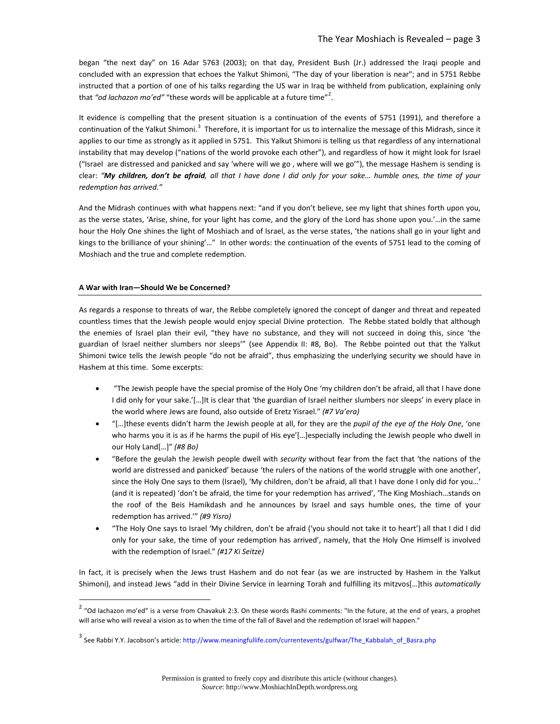began "the next day" on 16 Adar 5763 (2003); on that day, President Bush (Jr.) addressed the Iraqi people and concluded with an expression that echoes the Yalkut Shimoni, "The day of your liberation is near"; and in 5751 Rebbe instructed that a portion of one of his talks regarding the US war in Iraq be withheld from publication, explaining only that "od lachazon mo'ed" "these words will be applicable at a future time"<sup>[2](#page-2-0)</sup>.

It evidence is compelling that the present situation is a continuation of the events of 5751 (1991), and therefore a continuation of the Yalkut Shimoni.<sup>[3](#page-2-1)</sup> Therefore, it is important for us to internalize the message of this Midrash, since it applies to our time as strongly as it applied in 5751. This Yalkut Shimoni is telling us that regardless of any international instability that may develop ("nations of the world provoke each other"), and regardless of how it might look for Israel ("Israel are distressed and panicked and say 'where will we go , where will we go'"), the message Hashem is sending is clear: *"My children, don't be afraid, all that I have done I did only for your sake… humble ones, the time of your redemption has arrived."* 

And the Midrash continues with what happens next: "and if you don't believe, see my light that shines forth upon you, as the verse states, 'Arise, shine, for your light has come, and the glory of the Lord has shone upon you.'…in the same hour the Holy One shines the light of Moshiach and of Israel, as the verse states, 'the nations shall go in your light and kings to the brilliance of your shining'…" In other words: the continuation of the events of 5751 lead to the coming of Moshiach and the true and complete redemption.

# **A War with Iran—Should We be Concerned?**

As regards a response to threats of war, the Rebbe completely ignored the concept of danger and threat and repeated countless times that the Jewish people would enjoy special Divine protection. The Rebbe stated boldly that although the enemies of Israel plan their evil, "they have no substance, and they will not succeed in doing this, since 'the guardian of Israel neither slumbers nor sleeps'" (see Appendix II: #8, Bo). The Rebbe pointed out that the Yalkut Shimoni twice tells the Jewish people "do not be afraid", thus emphasizing the underlying security we should have in Hashem at this time. Some excerpts:

- "The Jewish people have the special promise of the Holy One 'my children don't be afraid, all that I have done I did only for your sake.'[...]It is clear that 'the guardian of Israel neither slumbers nor sleeps' in every place in the world where Jews are found, also outside of Eretz Yisrael." *(#7 Va'era)*
- "[…]these events didn't harm the Jewish people at all, for they are the *pupil of the eye of the Holy One*, 'one who harms you it is as if he harms the pupil of His eye'[…]especially including the Jewish people who dwell in our Holy Land[…]" *(#8 Bo)*
- "Before the geulah the Jewish people dwell with *security* without fear from the fact that 'the nations of the world are distressed and panicked' because 'the rulers of the nations of the world struggle with one another', since the Holy One says to them (Israel), 'My children, don't be afraid, all that I have done I only did for you…' (and it is repeated) 'don't be afraid, the time for your redemption has arrived', 'The King Moshiach…stands on the roof of the Beis Hamikdash and he announces by Israel and says humble ones, the time of your redemption has arrived.'" *(#9 Yisro)*
- "The Holy One says to Israel 'My children, don't be afraid ('you should not take it to heart') all that I did I did only for your sake, the time of your redemption has arrived', namely, that the Holy One Himself is involved with the redemption of Israel." *(#17 Ki Seitze)*

In fact, it is precisely when the Jews trust Hashem and do not fear (as we are instructed by Hashem in the Yalkut Shimoni), and instead Jews "add in their Divine Service in learning Torah and fulfilling its mitzvos[…]this *automatically*

<span id="page-2-0"></span> $2$  "Od lachazon mo'ed" is a verse from Chavakuk 2:3. On these words Rashi comments: "In the future, at the end of years, a prophet will arise who will reveal a vision as to when the time of the fall of Bavel and the redemption of Israel will happen."

<span id="page-2-1"></span><sup>3</sup> See Rabbi Y.Y. Jacobson's article[: http://www.meaningfullife.com/currentevents/gulfwar/The\\_Kabbalah\\_of\\_Basra.php](http://www.meaningfullife.com/currentevents/gulfwar/The_Kabbalah_of_Basra.php)